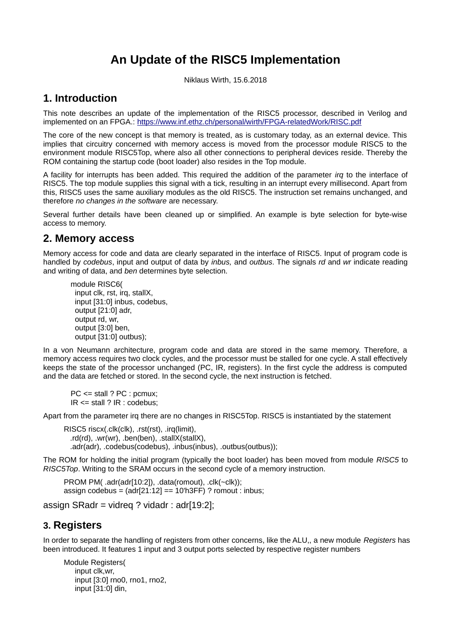# **An Update of the RISC5 Implementation**

Niklaus Wirth, 15.6.2018

# **1. Introduction**

This note describes an update of the implementation of the RISC5 processor, described in Verilog and implemented on an FPGA.:<https://www.inf.ethz.ch/personal/wirth/FPGA-relatedWork/RISC.pdf>

The core of the new concept is that memory is treated, as is customary today, as an external device. This implies that circuitry concerned with memory access is moved from the processor module RISC5 to the environment module RISC5Top, where also all other connections to peripheral devices reside. Thereby the ROM containing the startup code (boot loader) also resides in the Top module.

A facility for interrupts has been added. This required the addition of the parameter *irq* to the interface of RISC5. The top module supplies this signal with a tick, resulting in an interrupt every millisecond. Apart from this, RISC5 uses the same auxiliary modules as the old RISC5. The instruction set remains unchanged, and therefore *no changes in the software* are necessary.

Several further details have been cleaned up or simplified. An example is byte selection for byte-wise access to memory.

#### **2. Memory access**

Memory access for code and data are clearly separated in the interface of RISC5. Input of program code is handled by *codebus*, input and output of data by *inbus,* and *outbus*. The signals *rd* and *wr* indicate reading and writing of data, and *ben* determines byte selection.

module RISC6( input clk, rst, irq, stallX, input [31:0] inbus, codebus, output [21:0] adr, output rd, wr, output [3:0] ben, output [31:0] outbus);

In a von Neumann architecture, program code and data are stored in the same memory. Therefore, a memory access requires two clock cycles, and the processor must be stalled for one cycle. A stall effectively keeps the state of the processor unchanged (PC, IR, registers). In the first cycle the address is computed and the data are fetched or stored. In the second cycle, the next instruction is fetched.

PC <= stall ? PC : pcmux; IR <= stall ? IR : codebus;

Apart from the parameter irq there are no changes in RISC5Top. RISC5 is instantiated by the statement

RISC5 riscx(.clk(clk), .rst(rst), .irq(limit), .rd(rd), .wr(wr), .ben(ben), .stallX(stallX), .adr(adr), .codebus(codebus), .inbus(inbus), .outbus(outbus));

The ROM for holding the initial program (typically the boot loader) has been moved from module *RISC5* to *RISC5Top*. Writing to the SRAM occurs in the second cycle of a memory instruction.

PROM PM( .adr(adr[10:2]), .data(romout), .clk(~clk)); assign codebus =  $\text{adr}[21:12] == 10 \text{h3FF}$  ? romout : inbus;

assign SRadr = vidreq ? vidadr : adr[19:2];

### **3. Registers**

In order to separate the handling of registers from other concerns, like the ALU,, a new module *Registers* has been introduced. It features 1 input and 3 output ports selected by respective register numbers

Module Registers( input clk,wr, input [3:0] rno0, rno1, rno2, input [31:0] din,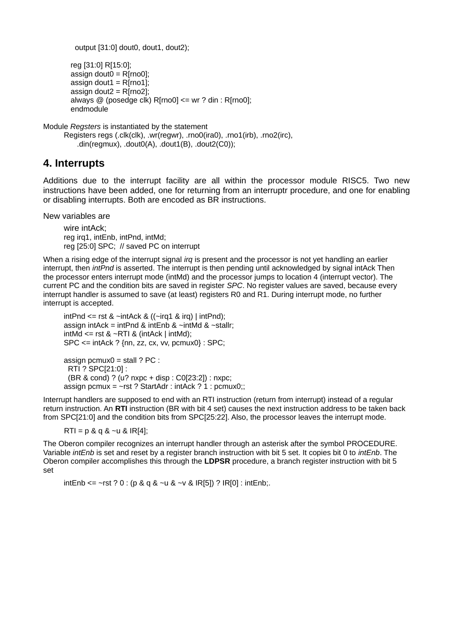```
output [31:0] dout0, dout1, dout2):
```

```
reg [31:0] R[15:0];
assign dout0 = R[rno0];
assign dout1 = R[rno1];
assign dout2 = R[rno2];
always @ (posedge clk) R[rno0] \leq wr ? din : R[rno0];
endmodule
```
Module *Regsters* is instantiated by the statement

Registers regs (.clk(clk), .wr(regwr), .rno0(ira0), .rno1(irb), .rno2(irc), .din(regmux), .dout0(A), .dout1(B), .dout2(C0));

## **4. Interrupts**

Additions due to the interrupt facility are all within the processor module RISC5. Two new instructions have been added, one for returning from an interruptr procedure, and one for enabling or disabling interrupts. Both are encoded as BR instructions.

New variables are

wire intAck; reg irq1, intEnb, intPnd, intMd; reg [25:0] SPC; // saved PC on interrupt

When a rising edge of the interrupt signal *irq* is present and the processor is not yet handling an earlier interrupt, then *intPnd* is asserted. The interrupt is then pending until acknowledged by signal intAck Then the processor enters interrupt mode (intMd) and the processor jumps to location 4 (interrupt vector). The current PC and the condition bits are saved in register *SPC*. No register values are saved, because every interrupt handler is assumed to save (at least) registers R0 and R1. During interrupt mode, no further interrupt is accepted.

intPnd  $\leq$  rst &  $\sim$ intAck & (( $\sim$ irg1 & irg) | intPnd); assign intAck = intPnd & intEnb & ~intMd & ~stallr;  $intMd \leq rst \& \sim RTI \& (intAck | intMd);$ SPC <= intAck ? {nn, zz, cx, vv, pcmux0} : SPC; assign pcmux $0 =$  stall ? PC : RTI ? SPC[21:0] :

(BR & cond) ? (u? nxpc + disp : C0[23:2]) : nxpc;

assign pcmux =  $-rst$  ? StartAdr : intAck ? 1 : pcmux0;;

Interrupt handlers are supposed to end with an RTI instruction (return from interrupt) instead of a regular return instruction. An **RTI** instruction (BR with bit 4 set) causes the next instruction address to be taken back from SPC[21:0] and the condition bits from SPC[25:22]. Also, the processor leaves the interrupt mode.

 $RTI = p & q & q & -u & R[4];$ 

The Oberon compiler recognizes an interrupt handler through an asterisk after the symbol PROCEDURE. Variable *intEnb* is set and reset by a register branch instruction with bit 5 set. It copies bit 0 to *intEnb*. The Oberon compiler accomplishes this through the **LDPSR** procedure, a branch register instruction with bit 5 set

intEnb <= ~rst ? 0 : (p & q & ~u & ~v & IR[5]) ? IR[0] : intEnb;.